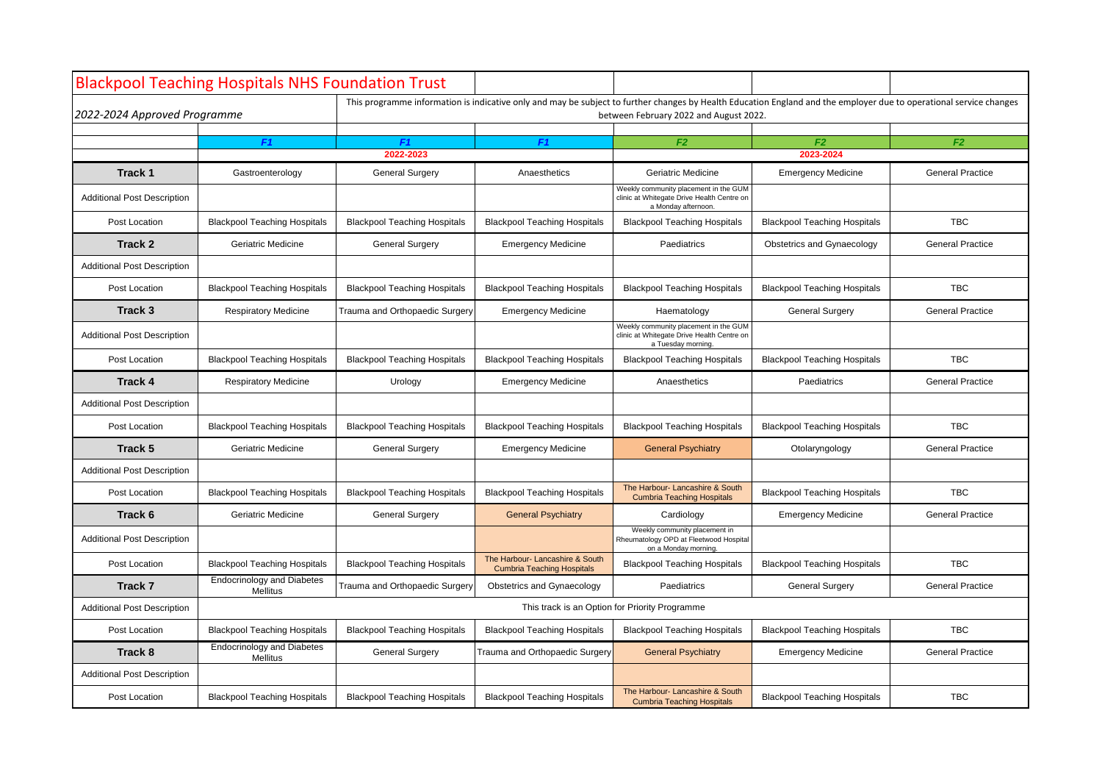| <b>Blackpool Teaching Hospitals NHS Foundation Trust</b> |                                                      |                                                                                                                                                                                                               |                                                                      |                                                                                                            |                                     |                         |  |  |
|----------------------------------------------------------|------------------------------------------------------|---------------------------------------------------------------------------------------------------------------------------------------------------------------------------------------------------------------|----------------------------------------------------------------------|------------------------------------------------------------------------------------------------------------|-------------------------------------|-------------------------|--|--|
| 2022-2024 Approved Programme                             |                                                      | This programme information is indicative only and may be subject to further changes by Health Education England and the employer due to operational service changes<br>between February 2022 and August 2022. |                                                                      |                                                                                                            |                                     |                         |  |  |
|                                                          |                                                      |                                                                                                                                                                                                               | F1                                                                   |                                                                                                            |                                     |                         |  |  |
|                                                          |                                                      | F1<br>F1<br>2022-2023                                                                                                                                                                                         |                                                                      | F <sub>2</sub><br>F2<br>F <sub>2</sub><br>2023-2024                                                        |                                     |                         |  |  |
| Track 1                                                  | Gastroenterology                                     | <b>General Surgery</b>                                                                                                                                                                                        | Anaesthetics                                                         | <b>Geriatric Medicine</b>                                                                                  | <b>Emergency Medicine</b>           | <b>General Practice</b> |  |  |
| <b>Additional Post Description</b>                       |                                                      |                                                                                                                                                                                                               |                                                                      | Weekly community placement in the GUM<br>clinic at Whitegate Drive Health Centre on<br>a Monday afternoon. |                                     |                         |  |  |
| Post Location                                            | <b>Blackpool Teaching Hospitals</b>                  | <b>Blackpool Teaching Hospitals</b>                                                                                                                                                                           | <b>Blackpool Teaching Hospitals</b>                                  | <b>Blackpool Teaching Hospitals</b>                                                                        | <b>Blackpool Teaching Hospitals</b> | <b>TBC</b>              |  |  |
| Track 2                                                  | Geriatric Medicine                                   | <b>General Surgery</b>                                                                                                                                                                                        | <b>Emergency Medicine</b>                                            | Paediatrics                                                                                                | <b>Obstetrics and Gynaecology</b>   | <b>General Practice</b> |  |  |
| <b>Additional Post Description</b>                       |                                                      |                                                                                                                                                                                                               |                                                                      |                                                                                                            |                                     |                         |  |  |
| Post Location                                            | <b>Blackpool Teaching Hospitals</b>                  | <b>Blackpool Teaching Hospitals</b>                                                                                                                                                                           | <b>Blackpool Teaching Hospitals</b>                                  | <b>Blackpool Teaching Hospitals</b>                                                                        | <b>Blackpool Teaching Hospitals</b> | <b>TBC</b>              |  |  |
| Track 3                                                  | <b>Respiratory Medicine</b>                          | Trauma and Orthopaedic Surgery                                                                                                                                                                                | <b>Emergency Medicine</b>                                            | Haematology                                                                                                | <b>General Surgery</b>              | <b>General Practice</b> |  |  |
| <b>Additional Post Description</b>                       |                                                      |                                                                                                                                                                                                               |                                                                      | Weekly community placement in the GUM<br>clinic at Whitegate Drive Health Centre on<br>a Tuesday morning   |                                     |                         |  |  |
| Post Location                                            | <b>Blackpool Teaching Hospitals</b>                  | <b>Blackpool Teaching Hospitals</b>                                                                                                                                                                           | <b>Blackpool Teaching Hospitals</b>                                  | <b>Blackpool Teaching Hospitals</b>                                                                        | <b>Blackpool Teaching Hospitals</b> | <b>TBC</b>              |  |  |
| <b>Track 4</b>                                           | <b>Respiratory Medicine</b>                          | Urology                                                                                                                                                                                                       | <b>Emergency Medicine</b>                                            | Anaesthetics                                                                                               | Paediatrics                         | <b>General Practice</b> |  |  |
| <b>Additional Post Description</b>                       |                                                      |                                                                                                                                                                                                               |                                                                      |                                                                                                            |                                     |                         |  |  |
| Post Location                                            | <b>Blackpool Teaching Hospitals</b>                  | <b>Blackpool Teaching Hospitals</b>                                                                                                                                                                           | <b>Blackpool Teaching Hospitals</b>                                  | <b>Blackpool Teaching Hospitals</b>                                                                        | <b>Blackpool Teaching Hospitals</b> | <b>TBC</b>              |  |  |
| Track 5                                                  | Geriatric Medicine                                   | <b>General Surgery</b>                                                                                                                                                                                        | <b>Emergency Medicine</b>                                            | <b>General Psychiatry</b>                                                                                  | Otolaryngology                      | <b>General Practice</b> |  |  |
| <b>Additional Post Description</b>                       |                                                      |                                                                                                                                                                                                               |                                                                      |                                                                                                            |                                     |                         |  |  |
| Post Location                                            | <b>Blackpool Teaching Hospitals</b>                  | <b>Blackpool Teaching Hospitals</b>                                                                                                                                                                           | <b>Blackpool Teaching Hospitals</b>                                  | The Harbour- Lancashire & South<br><b>Cumbria Teaching Hospitals</b>                                       | <b>Blackpool Teaching Hospitals</b> | <b>TBC</b>              |  |  |
| Track 6                                                  | Geriatric Medicine                                   | <b>General Surgery</b>                                                                                                                                                                                        | <b>General Psychiatry</b>                                            | Cardiology                                                                                                 | <b>Emergency Medicine</b>           | <b>General Practice</b> |  |  |
| <b>Additional Post Description</b>                       |                                                      |                                                                                                                                                                                                               |                                                                      | Weekly community placement in<br>Rheumatology OPD at Fleetwood Hospital<br>on a Monday morning             |                                     |                         |  |  |
| Post Location                                            | <b>Blackpool Teaching Hospitals</b>                  | <b>Blackpool Teaching Hospitals</b>                                                                                                                                                                           | The Harbour- Lancashire & South<br><b>Cumbria Teaching Hospitals</b> | <b>Blackpool Teaching Hospitals</b>                                                                        | <b>Blackpool Teaching Hospitals</b> | <b>TBC</b>              |  |  |
| Track 7                                                  | <b>Endocrinology and Diabetes</b><br>Mellitus        | Trauma and Orthopaedic Surgery                                                                                                                                                                                | Obstetrics and Gynaecology                                           | Paediatrics                                                                                                | <b>General Surgery</b>              | <b>General Practice</b> |  |  |
| <b>Additional Post Description</b>                       | This track is an Option for Priority Programme       |                                                                                                                                                                                                               |                                                                      |                                                                                                            |                                     |                         |  |  |
| Post Location                                            | <b>Blackpool Teaching Hospitals</b>                  | <b>Blackpool Teaching Hospitals</b>                                                                                                                                                                           | <b>Blackpool Teaching Hospitals</b>                                  | <b>Blackpool Teaching Hospitals</b>                                                                        | <b>Blackpool Teaching Hospitals</b> | <b>TBC</b>              |  |  |
| Track 8                                                  | <b>Endocrinology and Diabetes</b><br><b>Mellitus</b> | <b>General Surgery</b>                                                                                                                                                                                        | Trauma and Orthopaedic Surgery                                       | <b>General Psychiatry</b>                                                                                  | <b>Emergency Medicine</b>           | <b>General Practice</b> |  |  |
| <b>Additional Post Description</b>                       |                                                      |                                                                                                                                                                                                               |                                                                      |                                                                                                            |                                     |                         |  |  |
| Post Location                                            | <b>Blackpool Teaching Hospitals</b>                  | <b>Blackpool Teaching Hospitals</b>                                                                                                                                                                           | <b>Blackpool Teaching Hospitals</b>                                  | The Harbour- Lancashire & South<br><b>Cumbria Teaching Hospitals</b>                                       | <b>Blackpool Teaching Hospitals</b> | <b>TBC</b>              |  |  |